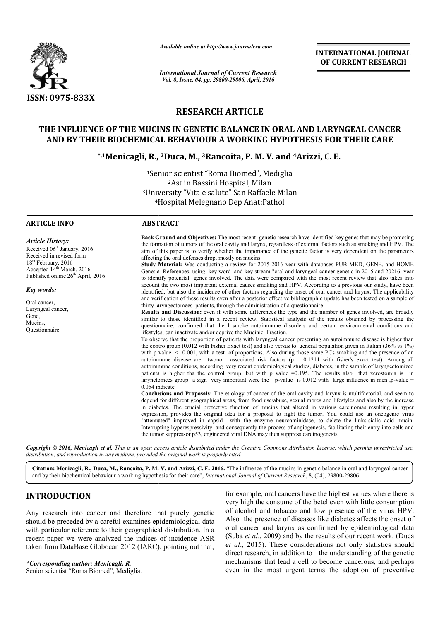

*Available online at http://www.journalcra.com*

*International Journal of Current Research Vol. 8, Issue, 04, pp. 29800-29806, April, 2016*

**INTERNATIONAL JOURNAL OF CURRENT RESEARCH** 

# **RESEARCH ARTICLE**

# **THE INFLUENCE OF THE MUCINS IN GENETIC BALANCE IN ORAL AND LARYNGEAL CANCER AND BY THEIR BIOCHEMICAL BEHAVIOUR A WORKING HYPOTHESIS FOR THEIR CARE** AND LARYNGEAL CANCER<br>THESIS FOR THEIR CARE<br>Arizzi, C. E.

# **\*,1Menicagli, R., ., 2Duca, M., 3Rancoita, P. M. V. and 4Arizzi**

<sup>1</sup>Senior scientist "Roma Biomed", Mediglia 3University University "Vita e salute" San Raffaele Milan 4Hospital Melegnano Dep Anat:Pathol Hospital 2Ast in Bassini Hospital, Milan

#### **ARTICLE INFO ABSTRACT**

*Article History:* Received 06<sup>th</sup> January, 2016 Received in revised form 18<sup>th</sup> February, 2016 Accepted 14<sup>th</sup> March, 2016 Published online  $26<sup>th</sup>$  April, 2016

*Key words:* Oral cancer, Laryngeal cancer,

Gene, Mucins, Questionnaire.

**Back Ground and Objectives:** The most recent genetic research have identified key genes that may be promoting the formation of tumors of the oral cavity and larynx, regardless of external factors such as smoking and HPV. The aim of this paper is to verify whether the importance of the genetic factor is very dependent on the parameters affecting the oral defenses drop, mostly on mucins.

**Study Material:** Was conducting a review for 2015-2016 year with databases PUB MED, GENE, and HOME Genetic References, using key word and key stream "oral and laryngeal cancer genetic in 2015 and 20216 year to identify potential genes involved. The data were compared with the most recent review that also takes into account the two most important external causes smoking and HPV. According to a previous our study, have been identified, but also the incidence of other factors regarding the onset of oral cancer and larynx. The applicability and verification of these results even after a posterior effective bibliographic update has been tested on a sample of thirty laryngectomees patients, through the administration of a questionnaire **Back Ground and Objectives:** The most recent genetic research have identified key genes that may be promoting the formation of tumors of the oral cavity and larynx, regardless of external factors such as smoking and HPV.

Results and Discussion: even if with some differences the type and the number of genes involved, are broadly similar to those identified in a recent review. Statistical analysis of the results obtained by processing the questionnaire, confirmed that the l smoke autoimmune disorders and certain environmental conditions and lifestyles, can inactivate and/or deprive the Mucinic Fraction. and verification of these results even after a posterior effective bibliographic update has been tested on a sample of thirty laryngectomees patients, through the administration of a questionnaire<br>**Results and Discussion:** 

To observe that the proportion of patients with laryngeal cancer presenting an autoimmune disease is higher than the contro group (0.012 with Fisher Exact test) and also versus to general population given in Italian (36% vs 1%) with p value  $\leq$  0.001, with a test of proportions. Also during those same PCs smoking and the presence of an autoimmune disease are twonot associated risk factors ( $p = 0.1211$  with fisher's exact test). Among all autoimmune conditions, according very recent epidemiological studies, diabetes, in the sample of laryngectomized patients is hi higher tha the control group, but with p value =0.195. The results also that xerostomia is in larynctomees group a sign very important were the  $p$ -value is 0.012 with large influence in men, p 0.054 indicate To observe that the proportion of patients with laryngeal cancer presenting an autoimmune disease is higher than the contro group (0.012 with Fisher Exact test) and also versus to general population given in Italian (36% autoimmune conditions, according very recent epidemiological studies, diabetes, in the sample of laryngectomized<br>patients is higher tha the control group, but with p value =0.195. The results also that xerostomia is in<br>la

**Conclusions and Proposals:**  The etiology of cancer of the oral cavity and larynx is multifactorial. and seem to depend for different ge geographical areas, from food use/abuse, sexual mores and lifestyles and also by the increase in diabetes. The crucial protective function of mucins that altered in various carcinomas resulting in hyper expression, provides the original idea for a proposal to fight the tumor. You could use an oncogenic virus **Conclusions and Proposals:** The etiology of cancer of the oral cavity and larynx is multifactorial. and seem to depend for different geographical areas, from food use/abuse, sexual mores and lifestyles and also by the inc Interrupting hyperespressivity and consequently the process of angiogenesis, facilitating their entry into cells and the tumor suppressor p53, engineered viral DNA may then suppress carcinogenesis

*Copyright © 2016, Menicagli et al. This is an open access article distributed under the Creative Commons Att Attribution License, which ribution permits unrestricted use, distribution, and reproduction in any medium, provided the original work is properly cited.*

Citation: Menicagli, R., Duca, M., Rancoita, P. M. V. and Arizzi, C. E. 2016. "The influence of the mucins in genetic balance in oral and laryngeal cancer and by their biochemical behaviour a working hypothesis for their c and by their biochemical behaviour a working hypothesis for their care", *International Journal of Current Research*, 8, (04),

# **INTRODUCTION**

Any research into cancer and therefore that purely genetic should be preceded by a careful examines epidemiological data with particular reference to their geographical distribution. In a recent paper we were analyzed the indices of incidence ASR taken from DataBase Globocan 2012 (IARC), pointing out that,

*\*Corresponding author: Menicagli, R.* Senior scientist "Roma Biomed", Mediglia.

**DUCTION**<br>
For example, oral cancers have the highest values<br>
very high the consume of the betel even with little<br>
example are the text of alcohol and tobacco and low presence of the<br>
example, oral cancers have the highes very high the consume of the betel even with little consumption of alcohol and tobacco and low presence of the virus HPV. Also the presence of diseases like diabetes affects the onset of oral cancer and larynx as confirmed by epidemiological data (Suba *et al.*, 2009) and by the results of our recent work, (Duca *et al*., 2015). These considerations not only statistics should et al., 2015). These considerations not only statistics should direct research, in addition to the understanding of the genetic mechanisms that lead a cell to become cancerous, and perhaps even in the most urgent terms the adoption of preventive for example, oral cancers have the highest values where there is ohol and tobacco and low presence of the virus HPV.<br>the presence of diseases like diabetes affects the onset of<br>ancer and larynx as confirmed by epidemiological data<br>*et al.*, 2009) and by the results of our recent work, **INTERNATIONAL [OURNAL TRANSFERAT CONTRACT (OF CURRENT RESEARCH CONTRACT (OF CURRENT RESEARCH CONTRACT (CONTRACT CONTRACT (CONTRACT CONTRACT CONTRACT (CONTRACT CONTRACT CONTRACT CONTRACT (NECT CONTRACT CONTRACT CONTRACT C**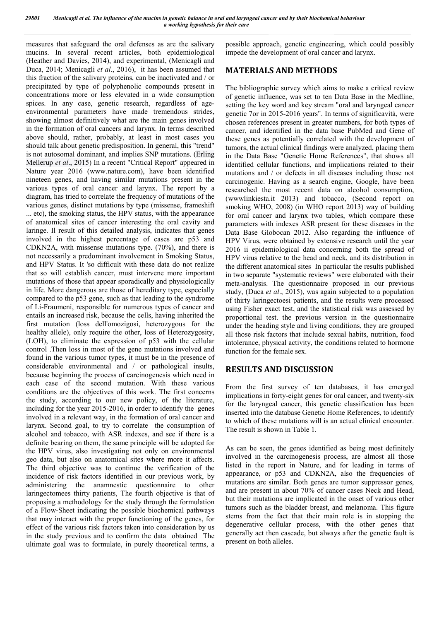measures that safeguard the oral defenses as are the salivary mucins. In several recent articles, both epidemiological (Heather and Davies, 2014), and experimental, (Menicagli and Duca, 2014; Menicagli *et al*., 2016), it has been assumed that this fraction of the salivary proteins, can be inactivated and / or precipitated by type of polyphenolic compounds present in concentrations more or less elevated in a wide consumption spices. In any case, genetic research, regardless of ageenvironmental parameters have made tremendous strides, showing almost definitively what are the main genes involved in the formation of oral cancers and larynx. In terms described above should, rather, probably, at least in most cases you should talk about genetic predisposition. In general, this "trend" is not autosomal dominant, and implies SNP mutations. (Erling Mellerup *et al*., 2015) In a recent "Critical Report" appeared in Nature year 2016 (www.nature.com), have been identified nineteen genes, and having similar mutations present in the various types of oral cancer and larynx. The report by a diagram, has tried to correlate the frequency of mutations of the various genes, distinct mutations by type (missense, frameshift ... etc), the smoking status, the HPV status, with the appearance of anatomical sites of cancer interesting the oral cavity and laringe. Il result of this detailed analysis, indicates that genes involved in the highest percentage of cases are p53 and CDKN2A, with missense mutations type. (70%), and there is not necessarily a predominant involvement in Smoking Status, and HPV Status. It 'so difficult with these data do not realize that so will establish cancer, must intervene more important mutations of those that appear sporadically and physiologically in life. More dangerous are those of hereditary type, especially compared to the p53 gene, such as that leading to the syndrome of Li-Fraumeni, responsible for numerous types of cancer and entails an increased risk, because the cells, having inherited the first mutation (loss dell'omozigosi, heterozygous for the healthy allele), only require the other, loss of Heterozygosity, (LOH), to eliminate the expression of p53 with the cellular control .Then loss in most of the gene mutations involved and found in the various tumor types, it must be in the presence of considerable environmental and / or pathological insults, because beginning the process of carcinogenesis which need in each case of the second mutation. With these various conditions are the objectives of this work. The first concerns the study, according to our new policy, of the literature, including for the year 2015-2016, in order to identify the genes involved in a relevant way, in the formation of oral cancer and larynx. Second goal, to try to correlate the consumption of alcohol and tobacco, with ASR indexes, and see if there is a definite bearing on them, the same principle will be adopted for the HPV virus, also investigating not only on environmental geo data, but also on anatomical sites where more it affects. The third objective was to continue the verification of the incidence of risk factors identified in our previous work, by administering the anamnestic questionnaire to other laringectomees thirty patients, The fourth objective is that of proposing a methodology for the study through the formulation of a Flow-Sheet indicating the possible biochemical pathways that may interact with the proper functioning of the genes, for effect of the various risk factors taken into consideration by us in the study previous and to confirm the data obtained The ultimate goal was to formulate, in purely theoretical terms, a

possible approach, genetic engineering, which could possibly impede the development of oral cancer and larynx.

## **MATERIALS AND METHODS**

The bibliographic survey which aims to make a critical review of genetic influence, was set to ten Data Base in the Medline, setting the key word and key stream "oral and laryngeal cancer genetic 7or in 2015-2016 years". In terms of significavità, were chosen references present in greater numbers, for both types of cancer, and identified in the data base PubMed and Gene of these genes as potentially correlated with the development of tumors, the actual clinical findings were analyzed, placing them in the Data Base "Genetic Home References", that shows all identified cellular functions, and implications related to their mutations and / or defects in all diseases including those not carcinogenic. Having as a search engine, Google, have been researched the most recent data on alcohol consumption, (wwwlinkiesta.it 2013) and tobacco, (Second report on smoking WHO, 2008) (in WHO report 2013) way of building for oral cancer and larynx two tables, which compare these parameters with indexes ASR present for these diseases in the Data Base Globocan 2012. Also regarding the influence of HPV Virus, were obtained by extensive research until the year 2016 ii epidemiological data concerning both the spread of HPV virus relative to the head and neck, and its distribution in the different anatomical sites In particular the results published in two separate "systematic reviews" were elaborated with their meta-analysis. The questionnaire proposed in our previous study, (Duca *et al*., 2015), was again subjected to a population of thirty laringectoesi patients, and the results were processed using Fisher exact test, and the statistical risk was assessed by proportional test. the previous version in the questionnaire under the heading style and living conditions, they are grouped all those risk factors that include sexual habits, nutrition, food intolerance, physical activity, the conditions related to hormone function for the female sex.

### **RESULTS AND DISCUSSION**

From the first survey of ten databases, it has emerged implications in forty-eight genes for oral cancer, and twenty-six for the laryngeal cancer, this genetic classification has been inserted into the database Genetic Home References, to identify to which of these mutations will is an actual clinical encounter. The result is shown in Table 1.

As can be seen, the genes identified as being most definitely involved in the carcinogenesis process, are almost all those listed in the report in Nature, and for leading in terms of appearance, or p53 and CDKN2A, also the frequencies of mutations are similar. Both genes are tumor suppressor genes, and are present in about 70% of cancer cases Neck and Head, but their mutations are implicated in the onset of various other tumors such as the bladder breast, and melanoma. This figure stems from the fact that their main role is in stopping the degenerative cellular process, with the other genes that generally act then cascade, but always after the genetic fault is present on both alleles.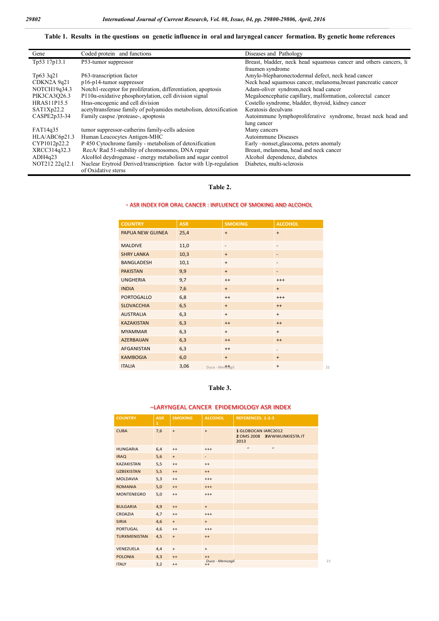#### **Table 1. Results in the questions on genetic influence in oral and laryngeal cancer formation. By genetic home references**

| Gene               | Coded protein and functions                                       | Diseases and Pathology                                            |
|--------------------|-------------------------------------------------------------------|-------------------------------------------------------------------|
| Tp53 17p13.1       | P53-tumor suppressor                                              | Breast, bladder, neck head squamous cancer and others cancers, li |
|                    |                                                                   | fraumen syndrome                                                  |
| Tp63 3q21          | P63-transcription factor                                          | Amylo-blepharonectodermal defect, neck head cancer                |
| CDKN2A9q21         | $p16-p14$ -tumor suppressor                                       | Neck head squamous cancer, melanoma, breast pancreatic cancer     |
| NOTCH19q34.3       | Notch1-receptor for proliferation, differentiation, apoptosis     | Adam-oliver syndrom, neck head cancer                             |
| PIK3CA3Q26.3       | $P110\alpha$ -oxidative phosphorylation, cell division signal     | Megaloencephatie capillary, malformation, colorectal cancer       |
| <b>HRAS11P15.5</b> | Hras-oncogenic and cell division                                  | Costello syndrome, bladder, thyroid, kidney cancer                |
| SAT1Xp22.2         | acetyltransferase family of polyamides metabolism, detoxification | Keratosis deculvans                                               |
| CASPE2p33-34       | Family caspse/protease-, apoptosis                                | Autoimmune lymphoproliferative syndrome, breast neck head and     |
|                    |                                                                   | lung cancer                                                       |
| FAT14q35           | tumor suppressor-catherins family-cells adesion                   | Many cancers                                                      |
| HLA/ABC6p21.3      | Human Leucocytes Antigen-MHC                                      | Autoimmune Diseases                                               |
| CYP1012p22.2       | P 450 Cytochrome family - metabolism of detoxification            | Early -nonset, glaucoma, peters anomaly                           |
| XRCC314q32.3       | RecA/Rad 51-stability of chromosomes, DNA repair                  | Breast, melanoma, head and neck cancer                            |
| ADH4q23            | AlcoHol deydrogenase - energy metabolism and sugar control        | Alcohol dependence, diabetes                                      |
| NOT212 22q12.1     | Nuclear Erytroid Derived/transcription factor with Up-regulation  | Diabetes, multi-sclerosis                                         |
|                    | of Oxidative sterss                                               |                                                                   |

#### **Table 2.**

#### - ASR INDEX FOR ORAL CANCER : INFLUENCE OF SMOKING AND ALCOHOL

| <b>COUNTRY</b>    | <b>ASR</b>               | <b>SMOKING</b>           | <b>ALCOHOL</b>           |
|-------------------|--------------------------|--------------------------|--------------------------|
| PAPUA NEW GUINEA  | 25,4                     | $+$                      | $+$                      |
| <b>MALDIVE</b>    | 11,0                     | $\overline{\phantom{0}}$ | $\overline{\phantom{a}}$ |
| <b>SHRY LANKA</b> | 10,3                     | $+$                      | $\overline{a}$           |
| <b>BANGLADESH</b> | 10,1                     | $+$                      | $\overline{\phantom{a}}$ |
| <b>PAKISTAN</b>   | 9,9                      | $+$                      | $\overline{\phantom{a}}$ |
| <b>UNGHERIA</b>   | 9,7                      | $^{++}$                  | $+++$                    |
| <b>INDIA</b>      | 7,6                      | $+$                      | $+$                      |
| <b>PORTOGALLO</b> | 6,8                      | $^{++}$                  | $+++$                    |
| <b>SLOVACCHIA</b> | 6,5                      | $+$                      | $++$                     |
| <b>AUSTRALIA</b>  | 6,3                      | $+$                      | $+$                      |
| <b>KAZAKISTAN</b> | 6,3                      | $++$                     | $++$                     |
| <b>MYAMMAR</b>    | 6,3                      | $+$                      | $+$                      |
| <b>AZERBAIJAN</b> | 6,3                      | $^{++}$                  | $++$                     |
| <b>AFGANISTAN</b> | 6,3                      | $^{++}$                  | ٠                        |
| <b>KAMBOGIA</b>   | 6,0                      | $+$                      | $+$                      |
| <b>ITALIA</b>     | 3,06<br>Duca - Mentcagli |                          | $+$                      |

#### **Table 3.**

#### –LARYNGEAL CANCER EPIDEMIOLOGY ASR INDEX

| <b>COUNTRY</b>      | <b>ASR</b><br>$\mathbf{1}$ | <b>SMOKING</b>                   | <b>ALCOHOL</b>              | <b>REFERENCES. 1-2-3</b>                                   |
|---------------------|----------------------------|----------------------------------|-----------------------------|------------------------------------------------------------|
| <b>CUBA</b>         | 7,6                        | $\begin{array}{c} + \end{array}$ | $+$                         | 1 GLOBOCAN IARC2012<br>2 OMS 2008 3WWWLINKIESTA.IT<br>2013 |
| <b>HUNGARIA</b>     | 6,4                        | $^{++}$                          | $^{+++}$                    | $\boldsymbol{u}$<br>$\boldsymbol{u}$                       |
| <b>IRAQ</b>         | 5,6                        | $\begin{array}{c} + \end{array}$ | $\overline{\phantom{0}}$    |                                                            |
| <b>KAZAKISTAN</b>   | 5,5                        | $^{++}$                          | $^{++}$                     |                                                            |
| <b>UZBEKISTAN</b>   | 5,5                        | $^{++}$                          | $^{++}$                     |                                                            |
| <b>MOLDAVIA</b>     | 5,3                        | $^{++}$                          | $^{+++}$                    |                                                            |
| <b>ROMANIA</b>      | 5,0                        | $^{++}$                          | $+++$                       |                                                            |
| <b>MONTENEGRO</b>   | 5,0                        | $^{++}$                          | $^{+++}$                    |                                                            |
| <b>BULGARIA</b>     | 4,9                        | $^{++}$                          | $+$                         |                                                            |
| <b>CROAZIA</b>      | 4,7                        | $^{++}$                          | $^{+++}$                    |                                                            |
| <b>SIRIA</b>        | 4,6                        | $\begin{array}{c} + \end{array}$ | $+$                         |                                                            |
| <b>PORTUGAL</b>     | 4,6                        | $^{++}$                          | $^{+++}$                    |                                                            |
| <b>TURKMENISTAN</b> | 4,5                        | $\begin{array}{c} + \end{array}$ | $++$                        |                                                            |
| VENEZUELA           | 4,4                        | $^{\mathrm{+}}$                  | $\ddot{}$                   |                                                            |
| <b>POLONIA</b>      | 4,3                        | $++$                             | $++$                        |                                                            |
| <b>ITALY</b>        | 3,2                        | $^{++}$                          | Duca - Menicagli<br>$^{++}$ |                                                            |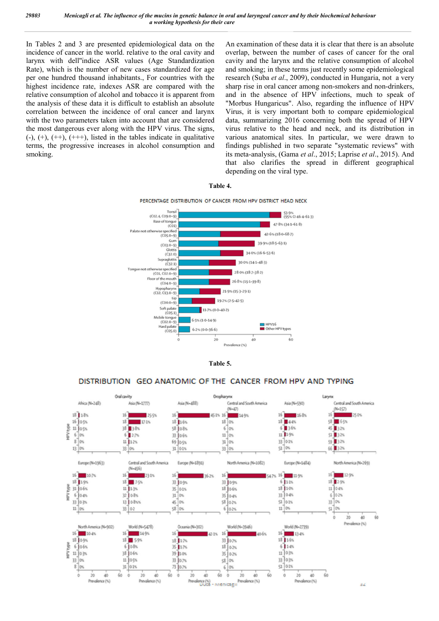In Tables 2 and 3 are presented epidemiological data on the incidence of cancer in the world. relative to the oral cavity and larynx with dell''indice ASR values (Age Standardization Rate), which is the number of new cases standardized for age per one hundred thousand inhabitants., For countries with the highest incidence rate, indexes ASR are compared with the relative consumption of alcohol and tobacco it is apparent from the analysis of these data it is difficult to establish an absolute correlation between the incidence of oral cancer and larynx with the two parameters taken into account that are considered the most dangerous ever along with the HPV virus. The signs,  $(-), (+), (++), (++),$  listed in the tables indicate in qualitative  $(-)$ ,  $(+)$ ,  $(++)$ ,  $(++)$ , listed in the tables indicate in qualitative terms, the progressive increases in alcohol consumption and smoking.

An examination of these data it is clear that there is an absolute overlap, between the number of cases of cancer for the oral cavity and the larynx and the relative consumption of alcohol and smoking; in these terms just recently some epidemiological research (Suba *et al*., 2009), conducted in Hungaria, not a very sharp rise in oral cancer among non-smokers and non-drinkers, and in the absence of HPV infections, much to speak of "Morbus Hungaricus". Also, regarding the influence of HPV Virus, it is very important both to compare epidemiological data, summarizing 2016 concerning both the spread of HPV virus relative to the head and neck, and its distribution in "Morbus Hungaricus". Also, regarding the influence of HPV<br>Virus, it is very important both to compare epidemiological<br>data, summarizing 2016 concerning both the spread of HPV<br>virus relative to the head and neck, and its di findings published in two separate "systematic reviews" with its meta-analysis, (Gama *et al*., 2015; Laprise *et al*., 2015). And that also clarifies the spread in different geographical depending on the viral type. p, between the number of cases of cancer for the oral and the larynx and the relative consumption of alcohol moking; in these terms just recently some epidemiological ch (Suba *et al.*, 2009), conducted in Hungaria, not a and laryngeal cancer and by their bio<br>examination of these data it is<br>rlap, between the number of<br>ity and the larynx and the rela<br>smoking; in these terms just re<br>arch (Suba *et al.*, 2009), cond<br>rp rise in oral cancer amon









#### DISTRIBUTION GEO ANATOMIC OF THE CANCER FROM HPV AND TYPING

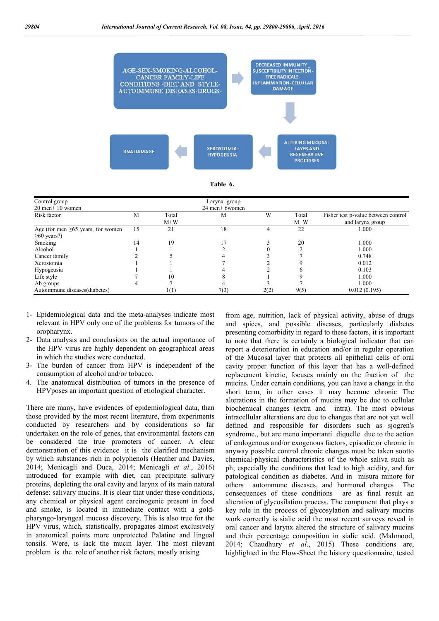

**Table 6.**

| Control group                           |                 |                | Larynx group |      |                |                                                         |
|-----------------------------------------|-----------------|----------------|--------------|------|----------------|---------------------------------------------------------|
| $20$ men+ $10$ women                    | 24 men+ 6 women |                |              |      |                |                                                         |
| Risk factor                             | М               | Total<br>$M+W$ | М            | W    | Total<br>$M+W$ | Fisher test p-value between control<br>and larynx group |
| Age (for men $\geq 65$ years, for women | 15              | 21             | 18           |      | 22             | 1.000                                                   |
| $\geq 60$ years?)                       |                 |                |              |      |                |                                                         |
| Smoking                                 | 14              | 19             |              |      | 20             | 1.000                                                   |
| Alcohol                                 |                 |                |              |      |                | 1.000                                                   |
| Cancer family                           |                 |                |              |      |                | 0.748                                                   |
| Xerostomia                              |                 |                |              |      |                | 0.012                                                   |
| Hypogeusia                              |                 |                |              |      |                | 0.103                                                   |
| Life style                              |                 | 10             |              |      |                | 1.000                                                   |
| Ab groups                               | 4               |                |              |      |                | 1.000                                                   |
| Autoimmune diseases(diabetes)           |                 | 1(1)           | 7(3)         | 2(2) | 9(5)           | 0.012(0.195)                                            |

- 1- Epidemiological data and the meta-analyses indicate most relevant in HPV only one of the problems for tumors of the oropharynx.
- 2- Data analysis and conclusions on the actual importance of the HPV virus are highly dependent on geographical areas in which the studies were conducted.
- 3- The burden of cancer from HPV is independent of the consumption of alcohol and/or tobacco.
- 4. The anatomical distribution of tumors in the presence of HPVposes an important question of etiological character.

There are many, have evidences of epidemiological data, than those provided by the most recent literature, from experiments conducted by researchers and by considerations so far undertaken on the role of genes, that environmental factors can be considered the true promoters of cancer. A clear demonstration of this evidence it is the clarified mechanism by which substances rich in polyphenols (Heather and Davies, 2014; Menicagli and Duca, 2014; Menicagli *et al*., 2016) introduced for example with diet, can precipitate salivary proteins, depleting the oral cavity and larynx of its main natural defense: salivary mucins. It is clear that under these conditions, any chemical or physical agent carcinogenic present in food and smoke, is located in immediate contact with a goldpharyngo-laryngeal mucosa discovery. This is also true for the HPV virus, which, statistically, propagates almost exclusively in anatomical points more unprotected Palatine and lingual tonsils. Were, is lack the mucin layer. The most rilevant problem is the role of another risk factors, mostly arising

from age, nutrition, lack of physical activity, abuse of drugs and spices, and possible diseases, particularly diabetes presenting comorbidity in regard to these factors, it is important to note that there is certainly a biological indicator that can report a deterioration in education and/or in regular operation of the Mucosal layer that protects all epithelial cells of oral cavity proper function of this layer that has a well-defined replacement kinetic, focuses mainly on the fraction of the mucins. Under certain conditions, you can have a change in the short term, in other cases it may become chronic The alterations in the formation of mucins may be due to cellular biochemical changes (extra and intra). The most obvious intracellular alterations are due to changes that are not yet well defined and responsible for disorders such as sjogren's syndrome., but are meno importanti diquelle due to the action of endogenous and/or exogenous factors, episodic or chronic in anyway possible control chronic changes must be taken sootto chemical-physical characteristics of the whole saliva such as ph; especially the conditions that lead to high acidity, and for patological condition as diabetes. And in misura minore for others autommune diseases, and hormonal changes The consequences of these conditions are as final result an alteration of glycosilation process. The component that plays a key role in the process of glycosylation and salivary mucins work correctly is sialic acid the most recent surveys reveal in oral cancer and larynx altered the structure of salivary mucins and their percentage composition in sialic acid. (Mahmood, 2014; Chaudhury *et al*., 2015) These conditions are, highlighted in the Flow-Sheet the history questionnaire, tested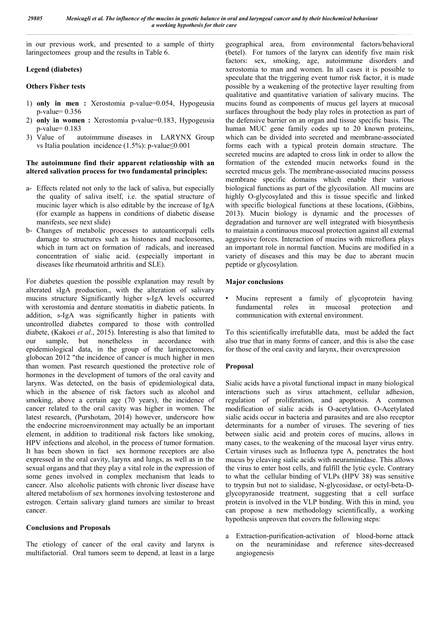in our previous work, and presented to a sample of thirty laringectomees group and the results in Table 6.

#### **Legend (diabetes)**

#### **Others Fisher tests**

- 1) **only in men :** Xerostomia p-value=0.054, Hypogeusia p-value= 0.356
- 2) **only in women :** Xerostomia p-value=0.183, Hypogeusia p-value= 0.183
- 3) Value of autoimmune diseases in LARYNX Group vs Italia poulation incidence (1.5%): p-value≤0.001

#### **The autoimmune find their apparent relationship with an altered salivation process for two fundamental principles:**

- a- Effects related not only to the lack of saliva, but especially the quality of saliva itself, i.e. the spatial structure of mucinic layer which is also editable by the increase of IgA (for example as happens in conditions of diabetic disease manifests, see next slide)
- b- Changes of metabolic processes to autoanticorpali cells damage to structures such as histones and nucleosomes, which in turn act on formation of radicals, and increased concentration of sialic acid. (especially important in diseases like rheumatoid arthritis and SLE).

For diabetes question the possible explanation may result by alterated sIgA production., with the alteration of salivary mucins structure Significantly higher s-IgA levels occurred with xerostomia and denture stomatitis in diabetic patients. In addition, s-IgA was significantly higher in patients with uncontrolled diabetes compared to those with controlled diabete, (Kakoei *et al*., 2015). Interesting is also that limited to our sample, but nonetheless in accordance with epidemiological data, in the group of the laringectomees, globocan 2012 "the incidence of cancer is much higher in men than women. Past research questioned the protective role of hormones in the development of tumors of the oral cavity and larynx. Was detected, on the basis of epidemiological data, which in the absence of risk factors such as alcohol and smoking, above a certain age (70 years), the incidence of cancer related to the oral cavity was higher in women. The latest research, (Purshotam, 2014) however, underscore how the endocrine microenvironment may actually be an important element, in addition to traditional risk factors like smoking, HPV infections and alcohol, in the process of tumor formation. It has been shown in fact sex hormone receptors are also expressed in the oral cavity, larynx and lungs, as well as in the sexual organs and that they play a vital role in the expression of some genes involved in complex mechanism that leads to cancer. Also alcoholic patients with chronic liver disease have altered metabolism of sex hormones involving testosterone and estrogen. Certain salivary gland tumors are similar to breast cancer.

#### **Conclusions and Proposals**

The etiology of cancer of the oral cavity and larynx is multifactorial. Oral tumors seem to depend, at least in a large geographical area, from environmental factors/behavioral (betel). For tumors of the larynx can identify five main risk factors: sex, smoking, age, autoimmune disorders and xerostomia to man and women. In all cases it is possible to speculate that the triggering event tumor risk factor, it is made possible by a weakening of the protective layer resulting from qualitative and quantitative variation of salivary mucins. The mucins found as components of mucus gel layers at mucosal surfaces throughout the body play roles in protection as part of the defensive barrier on an organ and tissue specific basis. The human MUC gene family codes up to 20 known proteins, which can be divided into secreted and membrane-associated forms each with a typical protein domain structure. The secreted mucins are adapted to cross link in order to allow the formation of the extended mucin networks found in the secreted mucus gels. The membrane-associated mucins possess membrane specific domains which enable their various biological functions as part of the glycosilation. All mucins are highly O-glycosylated and this is tissue specific and linked with specific biological functions at these locations, (Gibbins, 2013). Mucin biology is dynamic and the processes of degradation and turnover are well integrated with biosynthesis to maintain a continuous mucosal protection against all external aggressive forces. Interaction of mucins with microflora plays an important role in normal function. Mucins are modified in a variety of diseases and this may be due to aberant mucin peptide or glycosylation.

#### **Major conclusions**

Mucins represent a family of glycoprotein having fundamental roles in mucosal protection and communication with external environment.

To this scientifically irrefutablle data, must be added the fact also true that in many forms of cancer, and this is also the case for those of the oral cavity and larynx, their overexpression

#### **Proposal**

Sialic acids have a pivotal functional impact in many biological interactions such as virus attachment, cellular adhesion, regulation of proliferation, and apoptosis. A common modification of sialic acids is O-acetylation. O-Acetylated sialic acids occur in bacteria and parasites and are also receptor determinants for a number of viruses. The severing of ties between sialic acid and protein cores of mucins, allows in many cases, to the weakening of the mucosal layer virus entry. Certain viruses such as Influenza type A, penetrates the host mucus by cleaving sialic acids with neuraminidase. This allows the virus to enter host cells, and fulfill the lytic cycle. Contrary to what the cellular binding of VLPs (HPV 38) was sensitive to trypsin but not to sialidase, N-glycosidase, or octyl-beta-Dglycopyranoside treatment, suggesting that a cell surface protein is involved in the VLP binding. With this in mind, you can propose a new methodology scientifically, a working hypothesis unproven that covers the following steps:

a Extraction-purification-activation of blood-borne attack on the neuraminidase and reference sites-decreased angiogenesis